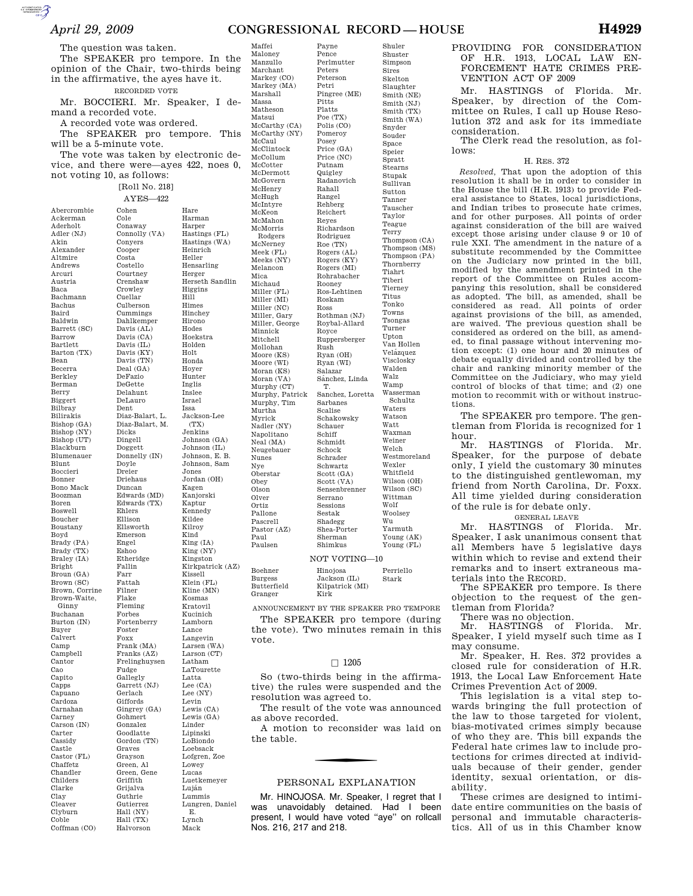Shuler Shuster Simpson Sires Skelton Slaughter Smith (NE) Smith (NJ) Smith (TX) Smith (WA) Snyder Souder Space Speier Spratt Stearns Stupak Sullivan Sutton Tanner Tauscher Taylor Teague Terry Thompson (CA) Thompson (MS) Thompson (PA) Thornberry Tiahrt Tiberi Tierney Titus Tonko Towns Tsongas Turner Upton Van Hollen Velázquez Visclosky Walden Walz Wamp Wasserman Schultz Waters Watson Watt Waxman Weiner Welch Westmoreland Wexler Whitfield Wilson (OH) Wilson (SC) Wittman Wolf Woolsey Wu Yarmuth Young (AK) Young (FL)

Payne

The question was taken.

 $\sum_{\text{SUSMATION}}$ 

The SPEAKER pro tempore. In the opinion of the Chair, two-thirds being in the affirmative, the ayes have it. RECORDED VOTE

Mr. BOCCIERI. Mr. Speaker, I demand a recorded vote.

A recorded vote was ordered.

The SPEAKER pro tempore. This will be a 5-minute vote.

The vote was taken by electronic device, and there were—ayes 422, noes 0,

not voting 10, as follows:

Cohen Cole

Costa

Dent

Dicks

Doyle Dreier

Engel Eshoo

Fallin Farr

Filner Flake

Foxx

Fudge

AYES—422

Abercrombie Ackerman Aderholt Adler (NJ) Akin Alexander Altmire Andrews Arcuri Austria Baca Bachmann Bachus Baird Baldwin Barrett (SC) Barrow Bartlett Barton (TX) Bean Becerra Berkley Berman Berry Biggert Bilbray Bilirakis Bishop (GA) Bishop (NY) Bishop (UT) Blackburn Blumenauer Blunt Boccieri Bonner Bono Mack Boozman Boren Boswell Boucher Boustany Boyd Brady (PA) Brady (TX) Braley (IA) Bright Broun (GA) Brown (SC) Brown, Corrine Brown-Waite, Ginny Buchanan Burton (IN) Buyer Calvert Camp Campbell Cantor Cao Capito Capps Capuano Cardoza Carnahan Carney Carson (IN) Carter Cassidy Castle Castor (FL) Chaffetz Chandler Childers Clarke Clay Cleaver Clyburn Coble Coffman (CO)

[Roll No. 218] Conaway Connolly (VA) Conyers Cooper Costello Courtney Crenshaw Crowley Cuellar Culberson Cummings Dahlkemper Davis (AL) Davis (CA) Davis (IL) Davis (KY) Davis (TN) Deal (GA) DeFazio DeGette Delahunt DeLauro Diaz-Balart, L. Diaz-Balart, M. Dingell Doggett Donnelly (IN) Driehaus Duncan Edwards (MD) Edwards (TX) Ehlers Ellison Ellsworth Emerson Etheridge Fattah Fleming Forbes Fortenberry Foster Frank (MA) Franks (AZ) Frelinghuysen Gallegly Garrett (NJ) Gerlach Giffords Gingrey (GA) Gohmert Gonzalez Goodlatte Gordon (TN) Graves Grayson Green, Al Green, Gene Griffith Grijalva Guthrie Gutierrez Hall (NY) Hall (TX) Halvorson Hare Harman Harper Hastings (FL) Hastings (WA) Heinrich Heller Hensarling Herger Herseth Sandlin Higgins Hill Himes Hinchey Hirono Hodes Hoekstra Holden Holt Honda Hoyer Hunter Inglis Inslee Israel Issa Jackson-Lee (TX) Jenkins Johnson (GA) Johnson (IL) Johnson, E. B. Johnson, Sam Jones Jordan (OH) Kagen Kanjorski Kaptur Kennedy Kildee Kilroy Kind King (IA) King (NY) Kingston Kirkpatrick (AZ) Kissell Klein (FL) Kline (MN) Kosmas Kratovil Kucinich Lamborn Lance Langevin Larsen (WA) Larson (CT) Latham LaTourette Latta Lee (CA) Lee (NY) Levin Lewis (CA) Lewis (GA) Linder Lipinski LoBiondo Loebsack Lofgren, Zoe Lowey Lucas Luetkemeyer Luján Lummis Lungren, Daniel E. Lynch Mack

Maloney Manzullo Marchant Markey (CO) Markey (MA) Marshall Massa Matheson Matsui McCarthy (CA) McCarthy (NY) McCaul McClintock McCollum McCotter McDermott McGovern McHenry McHugh McIntyre McKeon McMahon McMorris Rodgers McNerney Meek (FL) Meeks (NY) Melancon Mica Michaud Miller (FL) Miller (MI) Miller (NC) Miller, Gary Miller, George Minnick Mitchell Mollohan Moore (KS) Moore (WI) Moran (KS) Moran (VA) Murphy (CT) Murphy, Patrick Murphy, Tim Murtha Myrick Nadler (NY) Napolitano Neal (MA) Neugebauer Nunes Nye Oberstar Obey Olson Olver Ortiz Pallone Pascrell Pastor (AZ) Paul Paulsen Pence Perlmutter Peters Peterson Petri Pingree (ME) Pitts Platts Poe (TX) Polis (CO) Pomeroy Posey Price (GA) Price (NC) Putnam Quigley Radanovich Rahall Rangel Rehberg Reichert Reyes Richardson Rodriguez Roe (TN) Rogers (AL) Rogers (KY) Rogers (MI) Rohrabacher Rooney Ros-Lehtinen Roskam Ross Rothman (NJ) Roybal-Allard Royce Ruppersberger Rush Ryan (OH) Ryan (WI) Salazar Sánchez, Linda T. Sanchez, Loretta Sarbanes Scalise Schakowsky Schauer Schiff Schmidt Schock Schrader Schwartz Scott (GA) Scott (VA) Sensenbrenner Serrano Sessions Sestak Shadegg Shea-Porter Sherman Shimkus

Boehn

Maffei

NOT VOTING—10

| Boehner                | Hinojosa                | Perriello |
|------------------------|-------------------------|-----------|
| Burgess                | Jackson (IL)            | Stark     |
| Butterfield<br>Granger | Kilpatrick (MI)<br>Kirk |           |

ANNOUNCEMENT BY THE SPEAKER PRO TEMPORE The SPEAKER pro tempore (during the vote). Two minutes remain in this vote.

## $\square$  1205

So (two-thirds being in the affirmative) the rules were suspended and the resolution was agreed to.

The result of the vote was announced as above recorded.

A motion to reconsider was laid on the table.

# PERSONAL EXPLANATION

Mr. HINOJOSA. Mr. Speaker, I regret that I was unavoidably detained. Had I been present, I would have voted ''aye'' on rollcall Nos. 216, 217 and 218.

# PROVIDING FOR CONSIDERATION OF H.R. 1913, LOCAL LAW EN-FORCEMENT HATE CRIMES PRE-VENTION ACT OF 2009

Mr. HASTINGS of Florida. Mr. Speaker, by direction of the Committee on Rules, I call up House Resolution 372 and ask for its immediate consideration.

The Clerk read the resolution, as follows:

#### H. RES. 372

*Resolved,* That upon the adoption of this resolution it shall be in order to consider in the House the bill (H.R. 1913) to provide Federal assistance to States, local jurisdictions, and Indian tribes to prosecute hate crimes, and for other purposes. All points of order against consideration of the bill are waived except those arising under clause 9 or 10 of rule XXI. The amendment in the nature of a substitute recommended by the Committee on the Judiciary now printed in the bill, modified by the amendment printed in the report of the Committee on Rules accompanying this resolution, shall be considered as adopted. The bill, as amended, shall be considered as read. All points of order against provisions of the bill, as amended, are waived. The previous question shall be considered as ordered on the bill, as amended, to final passage without intervening motion except: (1) one hour and 20 minutes of debate equally divided and controlled by the chair and ranking minority member of the Committee on the Judiciary, who may yield control of blocks of that time; and (2) one motion to recommit with or without instructions.

The SPEAKER pro tempore. The gentleman from Florida is recognized for 1 hour.

Mr. HASTINGS of Florida. Mr. Speaker, for the purpose of debate only, I yield the customary 30 minutes to the distinguished gentlewoman, my friend from North Carolina, Dr. Foxx. All time yielded during consideration of the rule is for debate only.

#### GENERAL LEAVE

Mr. HASTINGS of Florida. Mr. Speaker, I ask unanimous consent that all Members have 5 legislative days within which to revise and extend their remarks and to insert extraneous materials into the RECORD.

The SPEAKER pro tempore. Is there objection to the request of the gentleman from Florida?

There was no objection.

Mr. HASTINGS of Florida. Mr. Speaker, I yield myself such time as I may consume.

Mr. Speaker, H. Res. 372 provides a closed rule for consideration of H.R. 1913, the Local Law Enforcement Hate Crimes Prevention Act of 2009.

This legislation is a vital step towards bringing the full protection of the law to those targeted for violent, bias-motivated crimes simply because of who they are. This bill expands the Federal hate crimes law to include protections for crimes directed at individuals because of their gender, gender identity, sexual orientation, or disability.

These crimes are designed to intimidate entire communities on the basis of personal and immutable characteristics. All of us in this Chamber know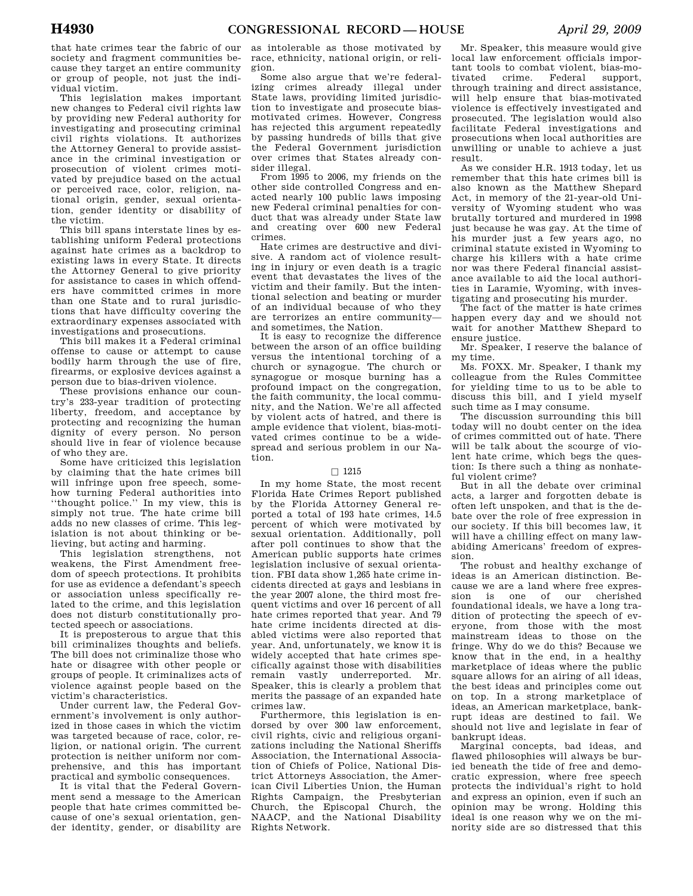that hate crimes tear the fabric of our society and fragment communities because they target an entire community or group of people, not just the individual victim.

This legislation makes important new changes to Federal civil rights law by providing new Federal authority for investigating and prosecuting criminal civil rights violations. It authorizes the Attorney General to provide assistance in the criminal investigation or prosecution of violent crimes motivated by prejudice based on the actual or perceived race, color, religion, national origin, gender, sexual orientation, gender identity or disability of the victim.

This bill spans interstate lines by establishing uniform Federal protections against hate crimes as a backdrop to existing laws in every State. It directs the Attorney General to give priority for assistance to cases in which offenders have committed crimes in more than one State and to rural jurisdictions that have difficulty covering the extraordinary expenses associated with investigations and prosecutions.

This bill makes it a Federal criminal offense to cause or attempt to cause bodily harm through the use of fire, firearms, or explosive devices against a person due to bias-driven violence.

These provisions enhance our country's 233-year tradition of protecting liberty, freedom, and acceptance by protecting and recognizing the human dignity of every person. No person should live in fear of violence because of who they are.

Some have criticized this legislation by claiming that the hate crimes bill will infringe upon free speech, somehow turning Federal authorities into ''thought police.'' In my view, this is simply not true. The hate crime bill adds no new classes of crime. This legislation is not about thinking or believing, but acting and harming.

This legislation strengthens, not weakens, the First Amendment freedom of speech protections. It prohibits for use as evidence a defendant's speech or association unless specifically related to the crime, and this legislation does not disturb constitutionally protected speech or associations.

It is preposterous to argue that this bill criminalizes thoughts and beliefs. The bill does not criminalize those who hate or disagree with other people or groups of people. It criminalizes acts of violence against people based on the victim's characteristics.

Under current law, the Federal Government's involvement is only authorized in those cases in which the victim was targeted because of race, color, religion, or national origin. The current protection is neither uniform nor comprehensive, and this has important practical and symbolic consequences.

It is vital that the Federal Government send a message to the American people that hate crimes committed because of one's sexual orientation, gender identity, gender, or disability are

as intolerable as those motivated by race, ethnicity, national origin, or religion.

Some also argue that we're federalizing crimes already illegal under State laws, providing limited jurisdiction to investigate and prosecute biasmotivated crimes. However, Congress has rejected this argument repeatedly by passing hundreds of bills that give the Federal Government jurisdiction over crimes that States already consider illegal.

From 1995 to 2006, my friends on the other side controlled Congress and enacted nearly 100 public laws imposing new Federal criminal penalties for conduct that was already under State law and creating over 600 new Federal crimes.

Hate crimes are destructive and divisive. A random act of violence resulting in injury or even death is a tragic event that devastates the lives of the victim and their family. But the intentional selection and beating or murder of an individual because of who they are terrorizes an entire community and sometimes, the Nation.

It is easy to recognize the difference between the arson of an office building versus the intentional torching of a church or synagogue. The church or synagogue or mosque burning has a profound impact on the congregation, the faith community, the local community, and the Nation. We're all affected by violent acts of hatred, and there is ample evidence that violent, bias-motivated crimes continue to be a widespread and serious problem in our Nation.

### $\Box$  1215

In my home State, the most recent Florida Hate Crimes Report published by the Florida Attorney General reported a total of 193 hate crimes, 14.5 percent of which were motivated by sexual orientation. Additionally, poll after poll continues to show that the American public supports hate crimes legislation inclusive of sexual orientation. FBI data show 1,265 hate crime incidents directed at gays and lesbians in the year 2007 alone, the third most frequent victims and over 16 percent of all hate crimes reported that year. And 79 hate crime incidents directed at disabled victims were also reported that year. And, unfortunately, we know it is widely accepted that hate crimes specifically against those with disabilities remain vastly underreported. Mr. Speaker, this is clearly a problem that merits the passage of an expanded hate crimes law.

Furthermore, this legislation is endorsed by over 300 law enforcement, civil rights, civic and religious organizations including the National Sheriffs Association, the International Association of Chiefs of Police, National District Attorneys Association, the American Civil Liberties Union, the Human Rights Campaign, the Presbyterian Church, the Episcopal Church, the NAACP, and the National Disability Rights Network.

Mr. Speaker, this measure would give local law enforcement officials important tools to combat violent, bias-motivated crime. Federal support, through training and direct assistance, will help ensure that bias-motivated violence is effectively investigated and prosecuted. The legislation would also facilitate Federal investigations and prosecutions when local authorities are unwilling or unable to achieve a just result.

As we consider H.R. 1913 today, let us remember that this hate crimes bill is also known as the Matthew Shepard Act, in memory of the 21-year-old University of Wyoming student who was brutally tortured and murdered in 1998 just because he was gay. At the time of his murder just a few years ago, no criminal statute existed in Wyoming to charge his killers with a hate crime nor was there Federal financial assistance available to aid the local authorities in Laramie, Wyoming, with investigating and prosecuting his murder.

The fact of the matter is hate crimes happen every day and we should not wait for another Matthew Shepard to ensure justice.

Mr. Speaker, I reserve the balance of my time.

Ms. FOXX. Mr. Speaker, I thank my colleague from the Rules Committee for yielding time to us to be able to discuss this bill, and I yield myself such time as I may consume.

The discussion surrounding this bill today will no doubt center on the idea of crimes committed out of hate. There will be talk about the scourge of violent hate crime, which begs the question: Is there such a thing as nonhateful violent crime?

But in all the debate over criminal acts, a larger and forgotten debate is often left unspoken, and that is the debate over the role of free expression in our society. If this bill becomes law, it will have a chilling effect on many lawabiding Americans' freedom of expression.

The robust and healthy exchange of ideas is an American distinction. Because we are a land where free expression is one of our cherished foundational ideals, we have a long tradition of protecting the speech of everyone, from those with the most mainstream ideas to those on the fringe. Why do we do this? Because we know that in the end, in a healthy marketplace of ideas where the public square allows for an airing of all ideas, the best ideas and principles come out on top. In a strong marketplace of ideas, an American marketplace, bankrupt ideas are destined to fail. We should not live and legislate in fear of bankrupt ideas.

Marginal concepts, bad ideas, and flawed philosophies will always be buried beneath the tide of free and democratic expression, where free speech protects the individual's right to hold and express an opinion, even if such an opinion may be wrong. Holding this ideal is one reason why we on the minority side are so distressed that this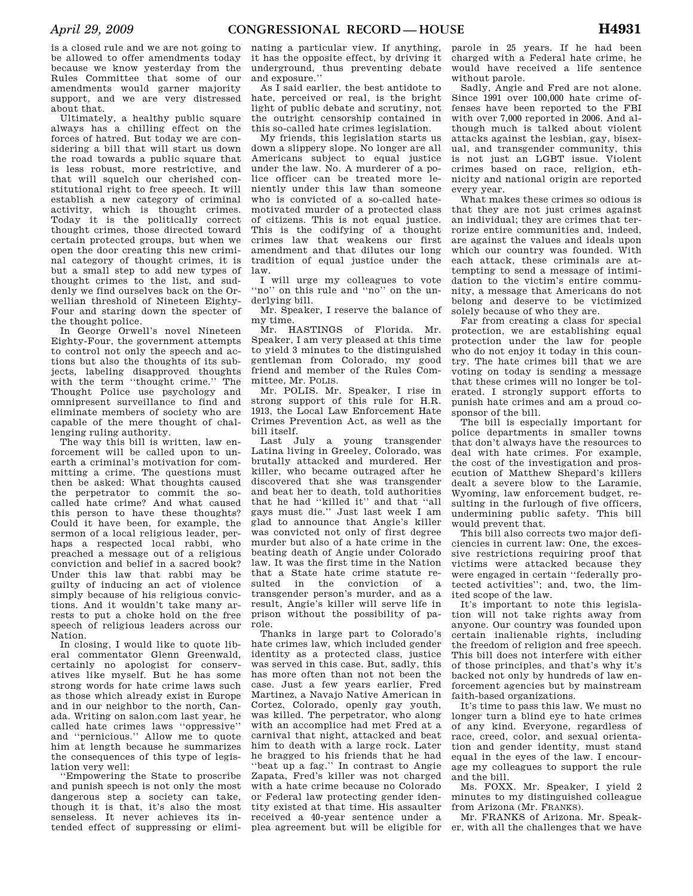is a closed rule and we are not going to be allowed to offer amendments today because we know yesterday from the Rules Committee that some of our amendments would garner majority support, and we are very distressed about that.

Ultimately, a healthy public square always has a chilling effect on the forces of hatred. But today we are considering a bill that will start us down the road towards a public square that is less robust, more restrictive, and that will squelch our cherished constitutional right to free speech. It will establish a new category of criminal activity, which is thought crimes. Today it is the politically correct thought crimes, those directed toward certain protected groups, but when we open the door creating this new criminal category of thought crimes, it is but a small step to add new types of thought crimes to the list, and suddenly we find ourselves back on the Orwellian threshold of Nineteen Eighty-Four and staring down the specter of the thought police.

In George Orwell's novel Nineteen Eighty-Four, the government attempts to control not only the speech and actions but also the thoughts of its subjects, labeling disapproved thoughts with the term ''thought crime.'' The Thought Police use psychology and omnipresent surveillance to find and eliminate members of society who are capable of the mere thought of challenging ruling authority.

The way this bill is written, law enforcement will be called upon to unearth a criminal's motivation for committing a crime. The questions must then be asked: What thoughts caused the perpetrator to commit the socalled hate crime? And what caused this person to have these thoughts? Could it have been, for example, the sermon of a local religious leader, perhaps a respected local rabbi, who preached a message out of a religious conviction and belief in a sacred book? Under this law that rabbi may be guilty of inducing an act of violence simply because of his religious convictions. And it wouldn't take many arrests to put a choke hold on the free speech of religious leaders across our Nation.

In closing, I would like to quote liberal commentator Glenn Greenwald, certainly no apologist for conservatives like myself. But he has some strong words for hate crime laws such as those which already exist in Europe and in our neighbor to the north, Canada. Writing on salon.com last year, he called hate crimes laws ''oppressive'' and ''pernicious.'' Allow me to quote him at length because he summarizes the consequences of this type of legislation very well:

''Empowering the State to proscribe and punish speech is not only the most dangerous step a society can take, though it is that, it's also the most senseless. It never achieves its intended effect of suppressing or elimi-

nating a particular view. If anything, it has the opposite effect, by driving it underground, thus preventing debate and exposure.''

As I said earlier, the best antidote to hate, perceived or real, is the bright light of public debate and scrutiny, not the outright censorship contained in this so-called hate crimes legislation.

My friends, this legislation starts us down a slippery slope. No longer are all Americans subject to equal justice under the law. No. A murderer of a police officer can be treated more leniently under this law than someone who is convicted of a so-called hatemotivated murder of a protected class of citizens. This is not equal justice. This is the codifying of a thought crimes law that weakens our first amendment and that dilutes our long tradition of equal justice under the law.

I will urge my colleagues to vote ''no'' on this rule and ''no'' on the underlying bill.

Mr. Speaker, I reserve the balance of my time.

Mr. HASTINGS of Florida. Mr. Speaker, I am very pleased at this time to yield 3 minutes to the distinguished gentleman from Colorado, my good friend and member of the Rules Committee, Mr. POLIS.

Mr. POLIS. Mr. Speaker, I rise in strong support of this rule for H.R. 1913, the Local Law Enforcement Hate Crimes Prevention Act, as well as the bill itself.

Last July a young transgender Latina living in Greeley, Colorado, was brutally attacked and murdered. Her killer, who became outraged after he discovered that she was transgender and beat her to death, told authorities that he had ''killed it'' and that ''all gays must die.'' Just last week I am glad to announce that Angie's killer was convicted not only of first degree murder but also of a hate crime in the beating death of Angie under Colorado law. It was the first time in the Nation that a State hate crime statute resulted in the conviction of a transgender person's murder, and as a result, Angie's killer will serve life in prison without the possibility of parole.

Thanks in large part to Colorado's hate crimes law, which included gender identity as a protected class, justice was served in this case. But, sadly, this has more often than not not been the case. Just a few years earlier, Fred Martinez, a Navajo Native American in Cortez, Colorado, openly gay youth, was killed. The perpetrator, who along with an accomplice had met Fred at a carnival that night, attacked and beat him to death with a large rock. Later he bragged to his friends that he had ''beat up a fag.'' In contrast to Angie Zapata, Fred's killer was not charged with a hate crime because no Colorado or Federal law protecting gender identity existed at that time. His assaulter received a 40-year sentence under a plea agreement but will be eligible for

parole in 25 years. If he had been charged with a Federal hate crime, he would have received a life sentence without parole.

Sadly, Angie and Fred are not alone. Since 1991 over 100,000 hate crime offenses have been reported to the FBI with over 7,000 reported in 2006. And although much is talked about violent attacks against the lesbian, gay, bisexual, and transgender community, this is not just an LGBT issue. Violent crimes based on race, religion, ethnicity and national origin are reported every year.

What makes these crimes so odious is that they are not just crimes against an individual; they are crimes that terrorize entire communities and, indeed, are against the values and ideals upon which our country was founded. With each attack, these criminals are attempting to send a message of intimidation to the victim's entire community, a message that Americans do not belong and deserve to be victimized solely because of who they are.

Far from creating a class for special protection, we are establishing equal protection under the law for people who do not enjoy it today in this country. The hate crimes bill that we are voting on today is sending a message that these crimes will no longer be tolerated. I strongly support efforts to punish hate crimes and am a proud cosponsor of the bill.

The bill is especially important for police departments in smaller towns that don't always have the resources to deal with hate crimes. For example, the cost of the investigation and prosecution of Matthew Shepard's killers dealt a severe blow to the Laramie, Wyoming, law enforcement budget, resulting in the furlough of five officers, undermining public safety. This bill would prevent that.

This bill also corrects two major deficiencies in current law: One, the excessive restrictions requiring proof that victims were attacked because they were engaged in certain ''federally protected activities''; and, two, the limited scope of the law.

It's important to note this legislation will not take rights away from anyone. Our country was founded upon certain inalienable rights, including the freedom of religion and free speech. This bill does not interfere with either of those principles, and that's why it's backed not only by hundreds of law enforcement agencies but by mainstream faith-based organizations.

It's time to pass this law. We must no longer turn a blind eye to hate crimes of any kind. Everyone, regardless of race, creed, color, and sexual orientation and gender identity, must stand equal in the eyes of the law. I encourage my colleagues to support the rule and the bill.

Ms. FOXX. Mr. Speaker, I yield 2 minutes to my distinguished colleague from Arizona (Mr. FRANKS).

Mr. FRANKS of Arizona. Mr. Speaker, with all the challenges that we have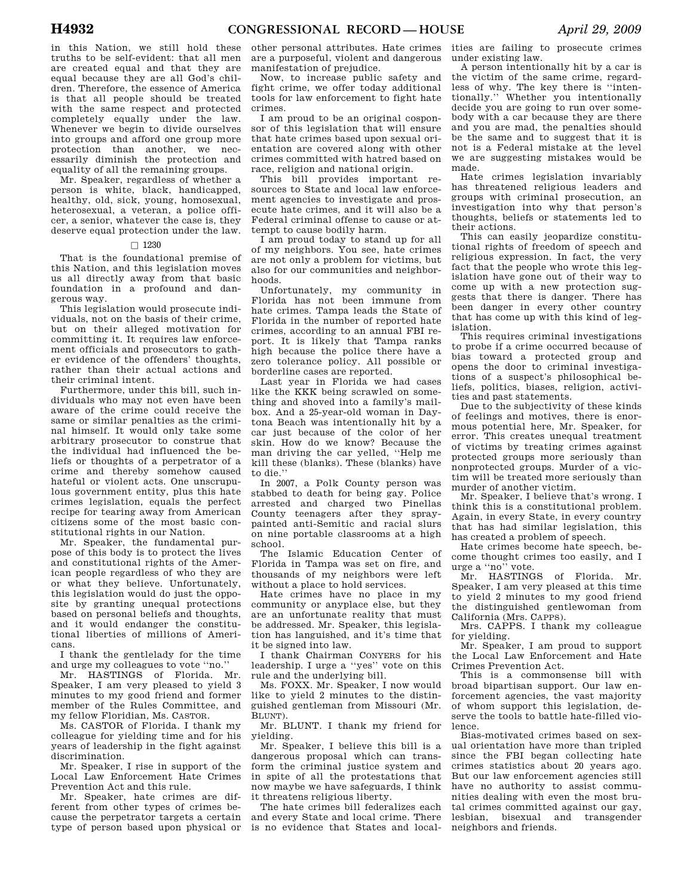in this Nation, we still hold these truths to be self-evident: that all men are created equal and that they are equal because they are all God's children. Therefore, the essence of America is that all people should be treated with the same respect and protected completely equally under the law. Whenever we begin to divide ourselves into groups and afford one group more protection than another, we necessarily diminish the protection and equality of all the remaining groups.

Mr. Speaker, regardless of whether a person is white, black, handicapped, healthy, old, sick, young, homosexual, heterosexual, a veteran, a police officer, a senior, whatever the case is, they deserve equal protection under the law.

#### $\Box$  1230

That is the foundational premise of this Nation, and this legislation moves us all directly away from that basic foundation in a profound and dangerous way.

This legislation would prosecute individuals, not on the basis of their crime, but on their alleged motivation for committing it. It requires law enforcement officials and prosecutors to gather evidence of the offenders' thoughts, rather than their actual actions and their criminal intent.

Furthermore, under this bill, such individuals who may not even have been aware of the crime could receive the same or similar penalties as the criminal himself. It would only take some arbitrary prosecutor to construe that the individual had influenced the beliefs or thoughts of a perpetrator of a crime and thereby somehow caused hateful or violent acts. One unscrupulous government entity, plus this hate crimes legislation, equals the perfect recipe for tearing away from American citizens some of the most basic constitutional rights in our Nation.

Mr. Speaker, the fundamental purpose of this body is to protect the lives and constitutional rights of the American people regardless of who they are or what they believe. Unfortunately, this legislation would do just the opposite by granting unequal protections based on personal beliefs and thoughts, and it would endanger the constitutional liberties of millions of Americans.

I thank the gentlelady for the time and urge my colleagues to vote ''no.''

Mr. HASTINGS of Florida. Mr. Speaker, I am very pleased to yield 3 minutes to my good friend and former member of the Rules Committee, and my fellow Floridian, Ms. CASTOR.

Ms. CASTOR of Florida. I thank my colleague for yielding time and for his years of leadership in the fight against discrimination.

Mr. Speaker, I rise in support of the Local Law Enforcement Hate Crimes Prevention Act and this rule.

Mr. Speaker, hate crimes are different from other types of crimes because the perpetrator targets a certain type of person based upon physical or

other personal attributes. Hate crimes are a purposeful, violent and dangerous manifestation of prejudice.

Now, to increase public safety and fight crime, we offer today additional tools for law enforcement to fight hate crimes.

I am proud to be an original cosponsor of this legislation that will ensure that hate crimes based upon sexual orientation are covered along with other crimes committed with hatred based on race, religion and national origin.

This bill provides important resources to State and local law enforcement agencies to investigate and prosecute hate crimes, and it will also be a Federal criminal offense to cause or attempt to cause bodily harm.

I am proud today to stand up for all of my neighbors. You see, hate crimes are not only a problem for victims, but also for our communities and neighborhoods.

Unfortunately, my community in Florida has not been immune from hate crimes. Tampa leads the State of Florida in the number of reported hate crimes, according to an annual FBI report. It is likely that Tampa ranks high because the police there have a zero tolerance policy. All possible or borderline cases are reported.

Last year in Florida we had cases like the KKK being scrawled on something and shoved into a family's mailbox. And a 25-year-old woman in Daytona Beach was intentionally hit by a car just because of the color of her skin. How do we know? Because the man driving the car yelled, ''Help me kill these (blanks). These (blanks) have to die.''

In 2007, a Polk County person was stabbed to death for being gay. Police arrested and charged two Pinellas County teenagers after they spraypainted anti-Semitic and racial slurs on nine portable classrooms at a high school.

The Islamic Education Center of Florida in Tampa was set on fire, and thousands of my neighbors were left without a place to hold services.

Hate crimes have no place in my community or anyplace else, but they are an unfortunate reality that must be addressed. Mr. Speaker, this legislation has languished, and it's time that it be signed into law.

I thank Chairman CONYERS for his leadership. I urge a ''yes'' vote on this rule and the underlying bill.

Ms. FOXX. Mr. Speaker, I now would like to yield 2 minutes to the distinguished gentleman from Missouri (Mr. BLUNT).

Mr. BLUNT. I thank my friend for yielding.

Mr. Speaker, I believe this bill is a dangerous proposal which can transform the criminal justice system and in spite of all the protestations that now maybe we have safeguards, I think it threatens religious liberty.

The hate crimes bill federalizes each and every State and local crime. There is no evidence that States and local-

ities are failing to prosecute crimes under existing law.

A person intentionally hit by a car is the victim of the same crime, regardless of why. The key there is ''intentionally.'' Whether you intentionally decide you are going to run over somebody with a car because they are there and you are mad, the penalties should be the same and to suggest that it is not is a Federal mistake at the level we are suggesting mistakes would be made.

Hate crimes legislation invariably has threatened religious leaders and groups with criminal prosecution, an investigation into why that person's thoughts, beliefs or statements led to their actions.

This can easily jeopardize constitutional rights of freedom of speech and religious expression. In fact, the very fact that the people who wrote this legislation have gone out of their way to come up with a new protection suggests that there is danger. There has been danger in every other country that has come up with this kind of legislation.

This requires criminal investigations to probe if a crime occurred because of bias toward a protected group and opens the door to criminal investigations of a suspect's philosophical beliefs, politics, biases, religion, activities and past statements.

Due to the subjectivity of these kinds of feelings and motives, there is enormous potential here, Mr. Speaker, for error. This creates unequal treatment of victims by treating crimes against protected groups more seriously than nonprotected groups. Murder of a victim will be treated more seriously than murder of another victim.

Mr. Speaker, I believe that's wrong. I think this is a constitutional problem. Again, in every State, in every country that has had similar legislation, this has created a problem of speech.

Hate crimes become hate speech, become thought crimes too easily, and I urge a ''no'' vote.

Mr. HASTINGS of Florida. Mr. Speaker, I am very pleased at this time to yield 2 minutes to my good friend the distinguished gentlewoman from California (Mrs. CAPPS).

Mrs. CAPPS. I thank my colleague for yielding.

Mr. Speaker, I am proud to support the Local Law Enforcement and Hate Crimes Prevention Act.

This is a commonsense bill with broad bipartisan support. Our law enforcement agencies, the vast majority of whom support this legislation, deserve the tools to battle hate-filled violence.

Bias-motivated crimes based on sexual orientation have more than tripled since the FBI began collecting hate crimes statistics about 20 years ago. But our law enforcement agencies still have no authority to assist communities dealing with even the most brutal crimes committed against our gay, lesbian, bisexual and transgender neighbors and friends.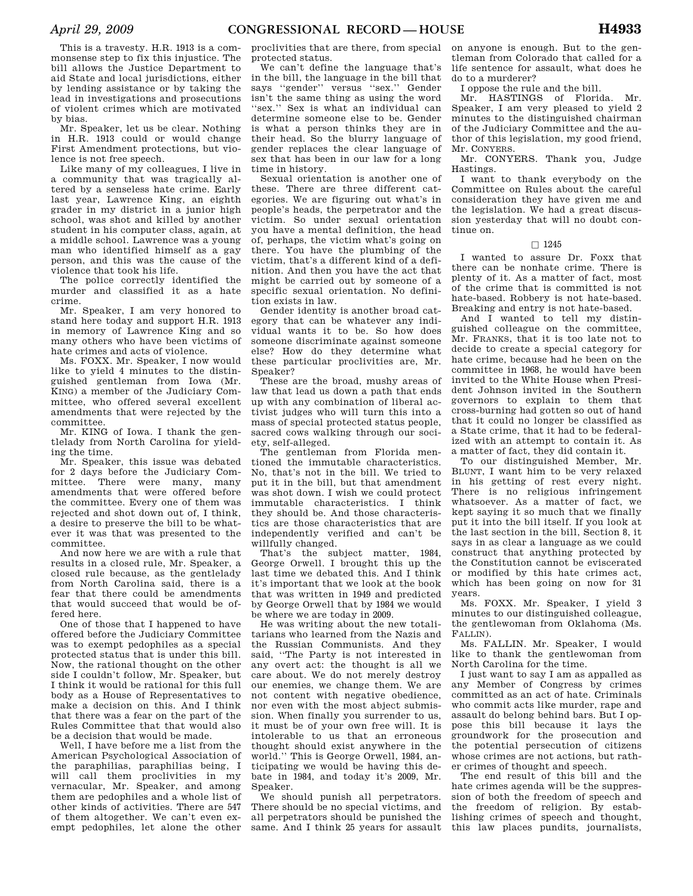This is a travesty. H.R. 1913 is a commonsense step to fix this injustice. The bill allows the Justice Department to aid State and local jurisdictions, either by lending assistance or by taking the lead in investigations and prosecutions of violent crimes which are motivated by bias.

Mr. Speaker, let us be clear. Nothing in H.R. 1913 could or would change First Amendment protections, but violence is not free speech.

Like many of my colleagues, I live in a community that was tragically altered by a senseless hate crime. Early last year, Lawrence King, an eighth grader in my district in a junior high school, was shot and killed by another student in his computer class, again, at a middle school. Lawrence was a young man who identified himself as a gay person, and this was the cause of the violence that took his life.

The police correctly identified the murder and classified it as a hate crime.

Mr. Speaker, I am very honored to stand here today and support H.R. 1913 in memory of Lawrence King and so many others who have been victims of hate crimes and acts of violence.

Ms. FOXX. Mr. Speaker, I now would like to yield 4 minutes to the distinguished gentleman from Iowa (Mr. KING) a member of the Judiciary Committee, who offered several excellent amendments that were rejected by the committee.

Mr. KING of Iowa. I thank the gentlelady from North Carolina for yielding the time.

Mr. Speaker, this issue was debated for 2 days before the Judiciary Committee. There were many, many amendments that were offered before the committee. Every one of them was rejected and shot down out of, I think, a desire to preserve the bill to be whatever it was that was presented to the committee.

And now here we are with a rule that results in a closed rule, Mr. Speaker, a closed rule because, as the gentlelady from North Carolina said, there is a fear that there could be amendments that would succeed that would be offered here.

One of those that I happened to have offered before the Judiciary Committee was to exempt pedophiles as a special protected status that is under this bill. Now, the rational thought on the other side I couldn't follow, Mr. Speaker, but I think it would be rational for this full body as a House of Representatives to make a decision on this. And I think that there was a fear on the part of the Rules Committee that that would also be a decision that would be made.

Well, I have before me a list from the American Psychological Association of the paraphilias, paraphilias being, I will call them proclivities in my vernacular, Mr. Speaker, and among them are pedophiles and a whole list of other kinds of activities. There are 547 of them altogether. We can't even exempt pedophiles, let alone the other

proclivities that are there, from special protected status.

We can't define the language that's in the bill, the language in the bill that says "gender" versus "sex." Gender isn't the same thing as using the word ''sex.'' Sex is what an individual can determine someone else to be. Gender is what a person thinks they are in their head. So the blurry language of gender replaces the clear language of sex that has been in our law for a long time in history.

Sexual orientation is another one of these. There are three different categories. We are figuring out what's in people's heads, the perpetrator and the victim. So under sexual orientation you have a mental definition, the head of, perhaps, the victim what's going on there. You have the plumbing of the victim, that's a different kind of a definition. And then you have the act that might be carried out by someone of a specific sexual orientation. No definition exists in law.

Gender identity is another broad category that can be whatever any individual wants it to be. So how does someone discriminate against someone else? How do they determine what these particular proclivities are, Mr. Speaker?

These are the broad, mushy areas of law that lead us down a path that ends up with any combination of liberal activist judges who will turn this into a mass of special protected status people, sacred cows walking through our society, self-alleged.

The gentleman from Florida mentioned the immutable characteristics. No, that's not in the bill. We tried to put it in the bill, but that amendment was shot down. I wish we could protect immutable characteristics. I think they should be. And those characteristics are those characteristics that are independently verified and can't be willfully changed.

That's the subject matter, 1984, George Orwell. I brought this up the last time we debated this. And I think it's important that we look at the book that was written in 1949 and predicted by George Orwell that by 1984 we would be where we are today in 2009.

He was writing about the new totalitarians who learned from the Nazis and the Russian Communists. And they said, ''The Party is not interested in any overt act: the thought is all we care about. We do not merely destroy our enemies, we change them. We are not content with negative obedience, nor even with the most abject submission. When finally you surrender to us, it must be of your own free will. It is intolerable to us that an erroneous thought should exist anywhere in the world.'' This is George Orwell, 1984, anticipating we would be having this debate in 1984, and today it's 2009, Mr. Speaker.

We should punish all perpetrators. There should be no special victims, and all perpetrators should be punished the same. And I think 25 years for assault

on anyone is enough. But to the gentleman from Colorado that called for a life sentence for assault, what does he do to a murderer?

I oppose the rule and the bill.

Mr. HASTINGS of Florida. Mr. Speaker, I am very pleased to yield 2 minutes to the distinguished chairman of the Judiciary Committee and the author of this legislation, my good friend, Mr. CONYERS.

Mr. CONYERS. Thank you, Judge Hastings.

I want to thank everybody on the Committee on Rules about the careful consideration they have given me and the legislation. We had a great discussion yesterday that will no doubt continue on.

#### $\square$  1245

I wanted to assure Dr. Foxx that there can be nonhate crime. There is plenty of it. As a matter of fact, most of the crime that is committed is not hate-based. Robbery is not hate-based. Breaking and entry is not hate-based.

And I wanted to tell my distinguished colleague on the committee, Mr. FRANKS, that it is too late not to decide to create a special category for hate crime, because had he been on the committee in 1968, he would have been invited to the White House when President Johnson invited in the Southern governors to explain to them that cross-burning had gotten so out of hand that it could no longer be classified as a State crime, that it had to be federalized with an attempt to contain it. As a matter of fact, they did contain it.

To our distinguished Member, Mr. BLUNT, I want him to be very relaxed in his getting of rest every night. There is no religious infringement whatsoever. As a matter of fact, we kept saying it so much that we finally put it into the bill itself. If you look at the last section in the bill, Section 8, it says in as clear a language as we could construct that anything protected by the Constitution cannot be eviscerated or modified by this hate crimes act, which has been going on now for 31 years.

Ms. FOXX. Mr. Speaker, I yield 3 minutes to our distinguished colleague, the gentlewoman from Oklahoma (Ms. FALLIN).

Ms. FALLIN. Mr. Speaker, I would like to thank the gentlewoman from North Carolina for the time.

I just want to say I am as appalled as any Member of Congress by crimes committed as an act of hate. Criminals who commit acts like murder, rape and assault do belong behind bars. But I oppose this bill because it lays the groundwork for the prosecution and the potential persecution of citizens whose crimes are not actions, but rather crimes of thought and speech.

The end result of this bill and the hate crimes agenda will be the suppression of both the freedom of speech and the freedom of religion. By establishing crimes of speech and thought, this law places pundits, journalists,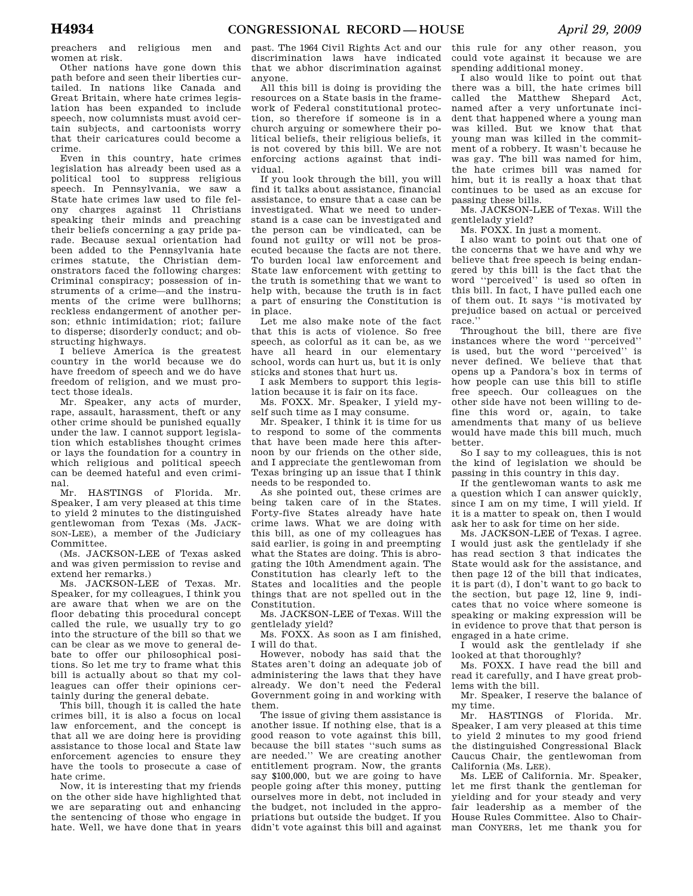preachers and religious men and women at risk.

Other nations have gone down this path before and seen their liberties curtailed. In nations like Canada and Great Britain, where hate crimes legislation has been expanded to include speech, now columnists must avoid certain subjects, and cartoonists worry that their caricatures could become a crime.

Even in this country, hate crimes legislation has already been used as a political tool to suppress religious speech. In Pennsylvania, we saw a State hate crimes law used to file felony charges against 11 Christians speaking their minds and preaching their beliefs concerning a gay pride parade. Because sexual orientation had been added to the Pennsylvania hate crimes statute, the Christian demonstrators faced the following charges: Criminal conspiracy; possession of instruments of a crime—and the instruments of the crime were bullhorns; reckless endangerment of another person; ethnic intimidation; riot; failure to disperse; disorderly conduct; and obstructing highways.

I believe America is the greatest country in the world because we do have freedom of speech and we do have freedom of religion, and we must protect those ideals.

Mr. Speaker, any acts of murder, rape, assault, harassment, theft or any other crime should be punished equally under the law. I cannot support legislation which establishes thought crimes or lays the foundation for a country in which religious and political speech can be deemed hateful and even criminal.

Mr. HASTINGS of Florida. Mr. Speaker, I am very pleased at this time to yield 2 minutes to the distinguished gentlewoman from Texas (Ms. JACK-SON-LEE), a member of the Judiciary Committee.

(Ms. JACKSON-LEE of Texas asked and was given permission to revise and extend her remarks.)

Ms. JACKSON-LEE of Texas. Mr. Speaker, for my colleagues, I think you are aware that when we are on the floor debating this procedural concept called the rule, we usually try to go into the structure of the bill so that we can be clear as we move to general debate to offer our philosophical positions. So let me try to frame what this bill is actually about so that my colleagues can offer their opinions certainly during the general debate.

This bill, though it is called the hate crimes bill, it is also a focus on local law enforcement, and the concept is that all we are doing here is providing assistance to those local and State law enforcement agencies to ensure they have the tools to prosecute a case of hate crime.

Now, it is interesting that my friends on the other side have highlighted that we are separating out and enhancing the sentencing of those who engage in hate. Well, we have done that in years

past. The 1964 Civil Rights Act and our discrimination laws have indicated that we abhor discrimination against anyone.

All this bill is doing is providing the resources on a State basis in the framework of Federal constitutional protection, so therefore if someone is in a church arguing or somewhere their political beliefs, their religious beliefs, it is not covered by this bill. We are not enforcing actions against that individual.

If you look through the bill, you will find it talks about assistance, financial assistance, to ensure that a case can be investigated. What we need to understand is a case can be investigated and the person can be vindicated, can be found not guilty or will not be prosecuted because the facts are not there. To burden local law enforcement and State law enforcement with getting to the truth is something that we want to help with, because the truth is in fact a part of ensuring the Constitution is in place.

Let me also make note of the fact that this is acts of violence. So free speech, as colorful as it can be, as we have all heard in our elementary school, words can hurt us, but it is only sticks and stones that hurt us.

I ask Members to support this legislation because it is fair on its face.

Ms. FOXX. Mr. Speaker, I yield myself such time as I may consume.

Mr. Speaker, I think it is time for us to respond to some of the comments that have been made here this afternoon by our friends on the other side, and I appreciate the gentlewoman from Texas bringing up an issue that I think needs to be responded to.

As she pointed out, these crimes are being taken care of in the States. Forty-five States already have hate crime laws. What we are doing with this bill, as one of my colleagues has said earlier, is going in and preempting what the States are doing. This is abrogating the 10th Amendment again. The Constitution has clearly left to the States and localities and the people things that are not spelled out in the Constitution.

Ms. JACKSON-LEE of Texas. Will the gentlelady yield?

Ms. FOXX. As soon as I am finished, I will do that.

However, nobody has said that the States aren't doing an adequate job of administering the laws that they have already. We don't need the Federal Government going in and working with them.

The issue of giving them assistance is another issue. If nothing else, that is a good reason to vote against this bill, because the bill states ''such sums as are needed.'' We are creating another entitlement program. Now, the grants say \$100,000, but we are going to have people going after this money, putting ourselves more in debt, not included in the budget, not included in the appropriations but outside the budget. If you didn't vote against this bill and against

this rule for any other reason, you could vote against it because we are spending additional money.

I also would like to point out that there was a bill, the hate crimes bill called the Matthew Shepard Act, named after a very unfortunate incident that happened where a young man was killed. But we know that that young man was killed in the commitment of a robbery. It wasn't because he was gay. The bill was named for him, the hate crimes bill was named for him, but it is really a hoax that that continues to be used as an excuse for passing these bills.

Ms. JACKSON-LEE of Texas. Will the gentlelady yield?

Ms. FOXX. In just a moment.

I also want to point out that one of the concerns that we have and why we believe that free speech is being endangered by this bill is the fact that the word ''perceived'' is used so often in this bill. In fact, I have pulled each one of them out. It says ''is motivated by prejudice based on actual or perceived race.''

Throughout the bill, there are five instances where the word ''perceived'' is used, but the word ''perceived'' is never defined. We believe that that opens up a Pandora's box in terms of how people can use this bill to stifle free speech. Our colleagues on the other side have not been willing to define this word or, again, to take amendments that many of us believe would have made this bill much, much better.

So I say to my colleagues, this is not the kind of legislation we should be passing in this country in this day.

If the gentlewoman wants to ask me a question which I can answer quickly, since I am on my time, I will yield. If it is a matter to speak on, then I would ask her to ask for time on her side.

Ms. JACKSON-LEE of Texas. I agree. I would just ask the gentlelady if she has read section 3 that indicates the State would ask for the assistance, and then page 12 of the bill that indicates, it is part (d), I don't want to go back to the section, but page 12, line 9, indicates that no voice where someone is speaking or making expression will be in evidence to prove that that person is engaged in a hate crime.

I would ask the gentlelady if she looked at that thoroughly?

Ms. FOXX. I have read the bill and read it carefully, and I have great problems with the bill.

Mr. Speaker, I reserve the balance of my time.

Mr. HASTINGS of Florida. Mr. Speaker, I am very pleased at this time to yield 2 minutes to my good friend the distinguished Congressional Black Caucus Chair, the gentlewoman from California (Ms. LEE).

Ms. LEE of California. Mr. Speaker, let me first thank the gentleman for yielding and for your steady and very fair leadership as a member of the House Rules Committee. Also to Chairman CONYERS, let me thank you for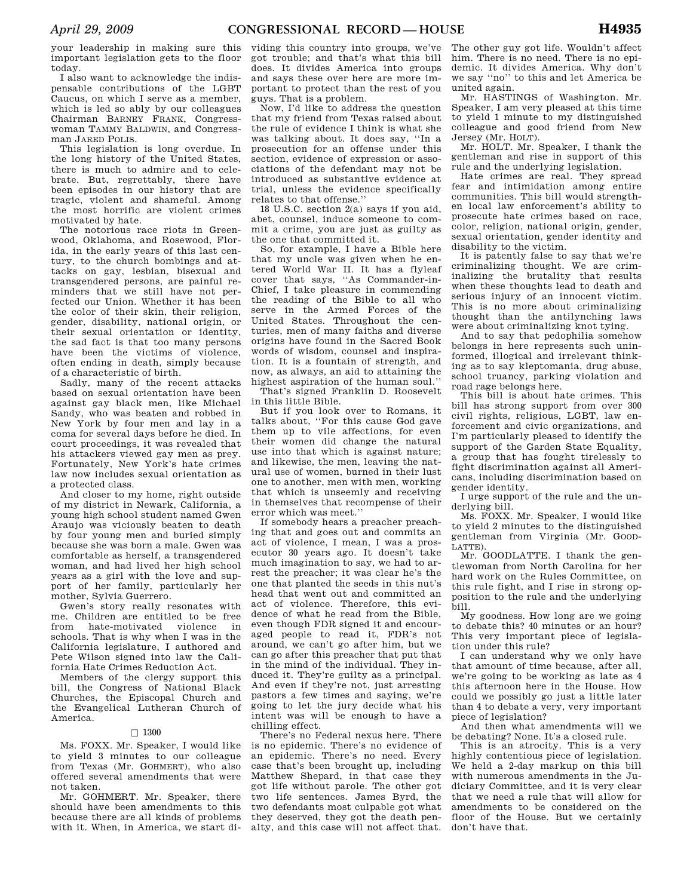your leadership in making sure this important legislation gets to the floor today.

I also want to acknowledge the indispensable contributions of the LGBT Caucus, on which I serve as a member, which is led so ably by our colleagues Chairman BARNEY FRANK, Congresswoman TAMMY BALDWIN, and Congressman JARED POLIS.

This legislation is long overdue. In the long history of the United States, there is much to admire and to celebrate. But, regrettably, there have been episodes in our history that are tragic, violent and shameful. Among the most horrific are violent crimes motivated by hate.

The notorious race riots in Greenwood, Oklahoma, and Rosewood, Florida, in the early years of this last century, to the church bombings and attacks on gay, lesbian, bisexual and transgendered persons, are painful reminders that we still have not perfected our Union. Whether it has been the color of their skin, their religion, gender, disability, national origin, or their sexual orientation or identity, the sad fact is that too many persons have been the victims of violence, often ending in death, simply because of a characteristic of birth.

Sadly, many of the recent attacks based on sexual orientation have been against gay black men, like Michael Sandy, who was beaten and robbed in New York by four men and lay in a coma for several days before he died. In court proceedings, it was revealed that his attackers viewed gay men as prey. Fortunately, New York's hate crimes law now includes sexual orientation as a protected class.

And closer to my home, right outside of my district in Newark, California, a young high school student named Gwen Araujo was viciously beaten to death by four young men and buried simply because she was born a male. Gwen was comfortable as herself, a transgendered woman, and had lived her high school years as a girl with the love and support of her family, particularly her mother, Sylvia Guerrero.

Gwen's story really resonates with me. Children are entitled to be free from hate-motivated violence in schools. That is why when I was in the California legislature, I authored and Pete Wilson signed into law the California Hate Crimes Reduction Act.

Members of the clergy support this bill, the Congress of National Black Churches, the Episcopal Church and the Evangelical Lutheran Church of America.

## $\Box$  1300

Ms. FOXX. Mr. Speaker, I would like to yield 3 minutes to our colleague from Texas (Mr. GOHMERT), who also offered several amendments that were not taken.

Mr. GOHMERT. Mr. Speaker, there should have been amendments to this because there are all kinds of problems with it. When, in America, we start di-

viding this country into groups, we've got trouble; and that's what this bill does. It divides America into groups and says these over here are more important to protect than the rest of you guys. That is a problem.

Now, I'd like to address the question that my friend from Texas raised about the rule of evidence I think is what she was talking about. It does say, ''In a prosecution for an offense under this section, evidence of expression or associations of the defendant may not be introduced as substantive evidence at trial, unless the evidence specifically relates to that offense.''

18 U.S.C. section 2(a) says if you aid, abet, counsel, induce someone to commit a crime, you are just as guilty as the one that committed it.

So, for example, I have a Bible here that my uncle was given when he entered World War II. It has a flyleaf cover that says, ''As Commander-in-Chief, I take pleasure in commending the reading of the Bible to all who serve in the Armed Forces of the United States. Throughout the centuries, men of many faiths and diverse origins have found in the Sacred Book words of wisdom, counsel and inspiration. It is a fountain of strength, and now, as always, an aid to attaining the highest aspiration of the human soul.''

That's signed Franklin D. Roosevelt in this little Bible.

But if you look over to Romans, it talks about, ''For this cause God gave them up to vile affections, for even their women did change the natural use into that which is against nature; and likewise, the men, leaving the natural use of women, burned in their lust one to another, men with men, working that which is unseemly and receiving in themselves that recompense of their error which was meet.''

If somebody hears a preacher preaching that and goes out and commits an act of violence, I mean, I was a prosecutor 30 years ago. It doesn't take much imagination to say, we had to arrest the preacher; it was clear he's the one that planted the seeds in this nut's head that went out and committed an act of violence. Therefore, this evidence of what he read from the Bible, even though FDR signed it and encouraged people to read it, FDR's not around, we can't go after him, but we can go after this preacher that put that in the mind of the individual. They induced it. They're guilty as a principal. And even if they're not, just arresting pastors a few times and saying, we're going to let the jury decide what his intent was will be enough to have a chilling effect.

There's no Federal nexus here. There is no epidemic. There's no evidence of an epidemic. There's no need. Every case that's been brought up, including Matthew Shepard, in that case they got life without parole. The other got two life sentences. James Byrd, the two defendants most culpable got what they deserved, they got the death penalty, and this case will not affect that.

The other guy got life. Wouldn't affect him. There is no need. There is no epidemic. It divides America. Why don't we say ''no'' to this and let America be united again.

Mr. HASTINGS of Washington. Mr. Speaker, I am very pleased at this time to yield 1 minute to my distinguished colleague and good friend from New Jersey (Mr. HOLT).

Mr. HOLT. Mr. Speaker, I thank the gentleman and rise in support of this rule and the underlying legislation.

Hate crimes are real. They spread fear and intimidation among entire communities. This bill would strengthen local law enforcement's ability to prosecute hate crimes based on race, color, religion, national origin, gender, sexual orientation, gender identity and disability to the victim.

It is patently false to say that we're criminalizing thought. We are criminalizing the brutality that results when these thoughts lead to death and serious injury of an innocent victim. This is no more about criminalizing thought than the antilynching laws were about criminalizing knot tying.

And to say that pedophilia somehow belongs in here represents such uninformed, illogical and irrelevant thinking as to say kleptomania, drug abuse, school truancy, parking violation and road rage belongs here.

This bill is about hate crimes. This bill has strong support from over 300 civil rights, religious, LGBT, law enforcement and civic organizations, and I'm particularly pleased to identify the support of the Garden State Equality, a group that has fought tirelessly to fight discrimination against all Americans, including discrimination based on gender identity.

I urge support of the rule and the underlying bill.

Ms. FOXX. Mr. Speaker, I would like to yield 2 minutes to the distinguished gentleman from Virginia (Mr. GOOD-LATTE).

Mr. GOODLATTE. I thank the gentlewoman from North Carolina for her hard work on the Rules Committee, on this rule fight, and I rise in strong opposition to the rule and the underlying bill.

My goodness. How long are we going to debate this? 40 minutes or an hour? This very important piece of legislation under this rule?

I can understand why we only have that amount of time because, after all, we're going to be working as late as 4 this afternoon here in the House. How could we possibly go just a little later than 4 to debate a very, very important piece of legislation?

And then what amendments will we be debating? None. It's a closed rule.

This is an atrocity. This is a very highly contentious piece of legislation. We held a 2-day markup on this bill with numerous amendments in the Judiciary Committee, and it is very clear that we need a rule that will allow for amendments to be considered on the floor of the House. But we certainly don't have that.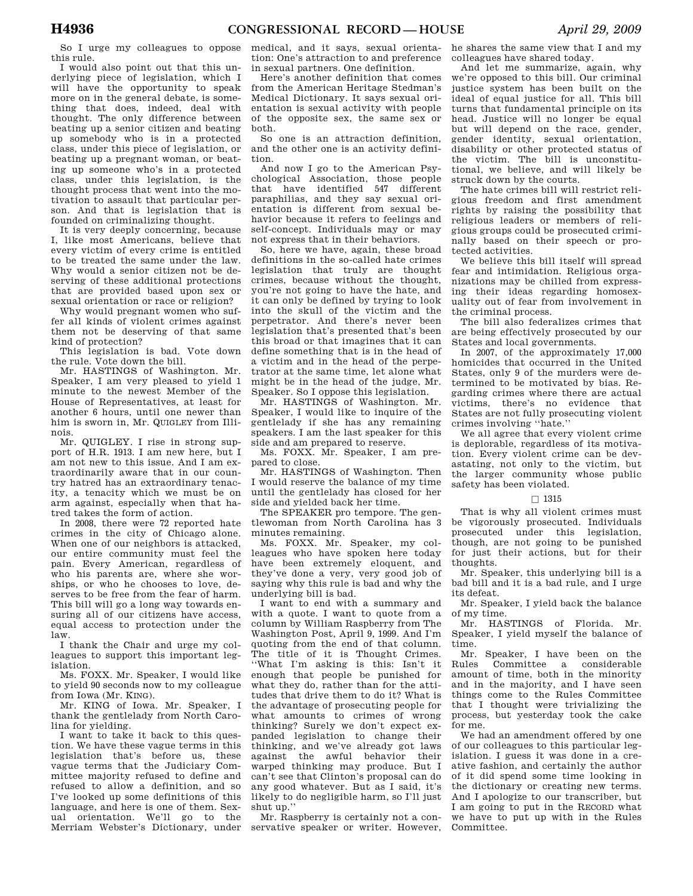So I urge my colleagues to oppose this rule.

I would also point out that this underlying piece of legislation, which I will have the opportunity to speak more on in the general debate, is something that does, indeed, deal with thought. The only difference between beating up a senior citizen and beating up somebody who is in a protected class, under this piece of legislation, or beating up a pregnant woman, or beating up someone who's in a protected class, under this legislation, is the thought process that went into the motivation to assault that particular person. And that is legislation that is founded on criminalizing thought.

It is very deeply concerning, because I, like most Americans, believe that every victim of every crime is entitled to be treated the same under the law. Why would a senior citizen not be deserving of these additional protections that are provided based upon sex or sexual orientation or race or religion?

Why would pregnant women who suffer all kinds of violent crimes against them not be deserving of that same kind of protection?

This legislation is bad. Vote down the rule. Vote down the bill.

Mr. HASTINGS of Washington. Mr. Speaker, I am very pleased to yield 1 minute to the newest Member of the House of Representatives, at least for another 6 hours, until one newer than him is sworn in, Mr. QUIGLEY from Illinois.

Mr. QUIGLEY. I rise in strong support of H.R. 1913. I am new here, but I am not new to this issue. And I am extraordinarily aware that in our country hatred has an extraordinary tenacity, a tenacity which we must be on arm against, especially when that hatred takes the form of action.

In 2008, there were 72 reported hate crimes in the city of Chicago alone. When one of our neighbors is attacked, our entire community must feel the pain. Every American, regardless of who his parents are, where she worships, or who he chooses to love, deserves to be free from the fear of harm. This bill will go a long way towards ensuring all of our citizens have access, equal access to protection under the law.

I thank the Chair and urge my colleagues to support this important legislation.

Ms. FOXX. Mr. Speaker, I would like to yield 90 seconds now to my colleague from Iowa (Mr. KING).

Mr. KING of Iowa. Mr. Speaker, I thank the gentlelady from North Carolina for yielding.

I want to take it back to this question. We have these vague terms in this legislation that's before us, these vague terms that the Judiciary Committee majority refused to define and refused to allow a definition, and so I've looked up some definitions of this language, and here is one of them. Sexual orientation. We'll go to the Merriam Webster's Dictionary, under

medical, and it says, sexual orientation: One's attraction to and preference in sexual partners. One definition.

Here's another definition that comes from the American Heritage Stedman's Medical Dictionary. It says sexual orientation is sexual activity with people of the opposite sex, the same sex or both.

So one is an attraction definition, and the other one is an activity definition.

And now I go to the American Psychological Association, those people that have identified 547 different paraphilias, and they say sexual orientation is different from sexual behavior because it refers to feelings and self-concept. Individuals may or may not express that in their behaviors.

So, here we have, again, these broad definitions in the so-called hate crimes legislation that truly are thought crimes, because without the thought, you're not going to have the hate, and it can only be defined by trying to look into the skull of the victim and the perpetrator. And there's never been legislation that's presented that's been this broad or that imagines that it can define something that is in the head of a victim and in the head of the perpetrator at the same time, let alone what might be in the head of the judge, Mr. Speaker. So I oppose this legislation.

Mr. HASTINGS of Washington. Mr. Speaker, I would like to inquire of the gentlelady if she has any remaining speakers. I am the last speaker for this side and am prepared to reserve.

Ms. FOXX. Mr. Speaker, I am prepared to close.

Mr. HASTINGS of Washington. Then I would reserve the balance of my time until the gentlelady has closed for her side and yielded back her time.

The SPEAKER pro tempore. The gentlewoman from North Carolina has 3 minutes remaining.

Ms. FOXX. Mr. Speaker, my colleagues who have spoken here today have been extremely eloquent, and they've done a very, very good job of saying why this rule is bad and why the underlying bill is bad.

I want to end with a summary and with a quote. I want to quote from a column by William Raspberry from The Washington Post, April 9, 1999. And I'm quoting from the end of that column. The title of it is Thought Crimes. ''What I'm asking is this: Isn't it enough that people be punished for what they do, rather than for the attitudes that drive them to do it? What is the advantage of prosecuting people for what amounts to crimes of wrong thinking? Surely we don't expect expanded legislation to change their thinking, and we've already got laws against the awful behavior their warped thinking may produce. But I can't see that Clinton's proposal can do any good whatever. But as I said, it's likely to do negligible harm, so I'll just shut up.''

Mr. Raspberry is certainly not a conservative speaker or writer. However,

he shares the same view that I and my colleagues have shared today.

And let me summarize, again, why we're opposed to this bill. Our criminal justice system has been built on the ideal of equal justice for all. This bill turns that fundamental principle on its head. Justice will no longer be equal but will depend on the race, gender, gender identity, sexual orientation, disability or other protected status of the victim. The bill is unconstitutional, we believe, and will likely be struck down by the courts.

The hate crimes bill will restrict religious freedom and first amendment rights by raising the possibility that religious leaders or members of religious groups could be prosecuted criminally based on their speech or protected activities.

We believe this bill itself will spread fear and intimidation. Religious organizations may be chilled from expressing their ideas regarding homosexuality out of fear from involvement in the criminal process.

The bill also federalizes crimes that are being effectively prosecuted by our States and local governments.

In 2007, of the approximately 17,000 homicides that occurred in the United States, only 9 of the murders were determined to be motivated by bias. Regarding crimes where there are actual victims, there's no evidence that States are not fully prosecuting violent crimes involving ''hate.''

We all agree that every violent crime is deplorable, regardless of its motivation. Every violent crime can be devastating, not only to the victim, but the larger community whose public safety has been violated.

## $\Box$  1315

That is why all violent crimes must be vigorously prosecuted. Individuals prosecuted under this legislation, though, are not going to be punished for just their actions, but for their thoughts.

Mr. Speaker, this underlying bill is a bad bill and it is a bad rule, and I urge its defeat.

Mr. Speaker, I yield back the balance of my time.

Mr. HASTINGS of Florida. Mr. Speaker, I yield myself the balance of time.

Mr. Speaker, I have been on the Rules Committee a considerable amount of time, both in the minority and in the majority, and I have seen things come to the Rules Committee that I thought were trivializing the process, but yesterday took the cake for me.

We had an amendment offered by one of our colleagues to this particular legislation. I guess it was done in a creative fashion, and certainly the author of it did spend some time looking in the dictionary or creating new terms. And I apologize to our transcriber, but I am going to put in the RECORD what we have to put up with in the Rules Committee.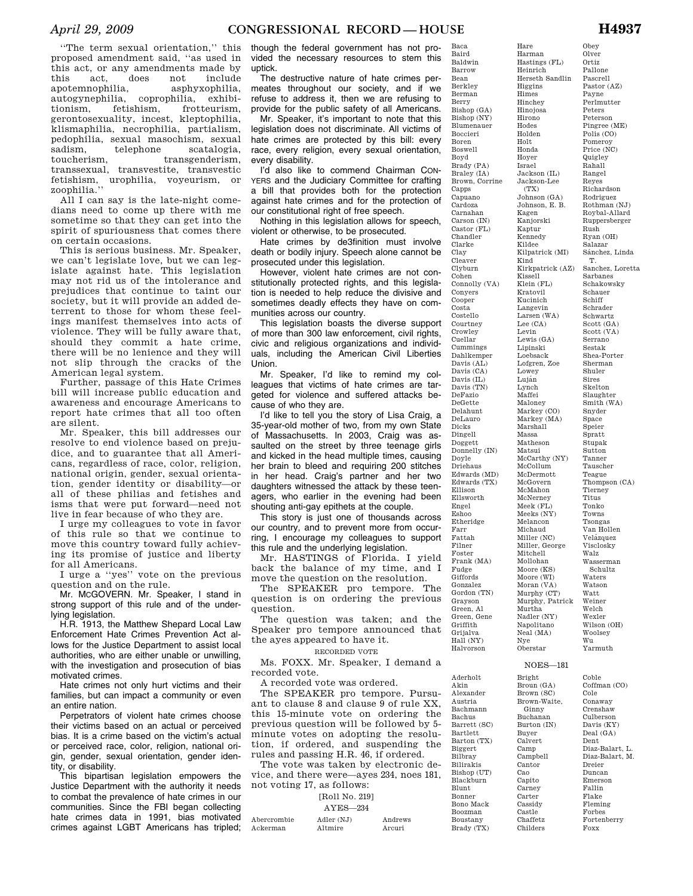''The term sexual orientation,'' this proposed amendment said, ''as used in this act, or any amendments made by this act, does not include apotemnophilia, asphyxophilia, autogynephilia, coprophilia, exhibitionism, fetishism, frotteurism, gerontosexuality, incest, kleptophilia, klismaphilia, necrophilia, partialism, pedophilia, sexual masochism, sexual sadism, telephone scatalogia, toucherism, transgenderism, transsexual, transvestite, transvestic fetishism, urophilia, voyeurism, or zoophilia.''

All I can say is the late-night comedians need to come up there with me sometime so that they can get into the spirit of spuriousness that comes there on certain occasions.

This is serious business. Mr. Speaker, we can't legislate love, but we can legislate against hate. This legislation may not rid us of the intolerance and prejudices that continue to taint our society, but it will provide an added deterrent to those for whom these feelings manifest themselves into acts of violence. They will be fully aware that, should they commit a hate crime, there will be no lenience and they will not slip through the cracks of the American legal system.

Further, passage of this Hate Crimes bill will increase public education and awareness and encourage Americans to report hate crimes that all too often are silent.

Mr. Speaker, this bill addresses our resolve to end violence based on prejudice, and to guarantee that all Americans, regardless of race, color, religion, national origin, gender, sexual orientation, gender identity or disability—or all of these philias and fetishes and isms that were put forward—need not live in fear because of who they are.

I urge my colleagues to vote in favor of this rule so that we continue to move this country toward fully achieving its promise of justice and liberty for all Americans.

I urge a ''yes'' vote on the previous question and on the rule.

Mr. MCGOVERN. Mr. Speaker, I stand in strong support of this rule and of the underlying legislation.

H.R. 1913, the Matthew Shepard Local Law Enforcement Hate Crimes Prevention Act allows for the Justice Department to assist local authorities, who are either unable or unwilling, with the investigation and prosecution of bias motivated crimes.

Hate crimes not only hurt victims and their families, but can impact a community or even an entire nation.

Perpetrators of violent hate crimes choose their victims based on an actual or perceived bias. It is a crime based on the victim's actual or perceived race, color, religion, national origin, gender, sexual orientation, gender identity, or disability.

This bipartisan legislation empowers the Justice Department with the authority it needs to combat the prevalence of hate crimes in our communities. Since the FBI began collecting hate crimes data in 1991, bias motivated crimes against LGBT Americans has tripled;

though the federal government has not provided the necessary resources to stem this uptick.

The destructive nature of hate crimes permeates throughout our society, and if we refuse to address it, then we are refusing to provide for the public safety of all Americans.

Mr. Speaker, it's important to note that this legislation does not discriminate. All victims of hate crimes are protected by this bill: every race, every religion, every sexual orientation, every disability.

I'd also like to commend Chairman CON-YERS and the Judiciary Committee for crafting a bill that provides both for the protection against hate crimes and for the protection of our constitutional right of free speech.

Nothing in this legislation allows for speech, violent or otherwise, to be prosecuted.

Hate crimes by de3finition must involve death or bodily injury. Speech alone cannot be prosecuted under this legislation.

However, violent hate crimes are not constitutionally protected rights, and this legislation is needed to help reduce the divisive and sometimes deadly effects they have on communities across our country.

This legislation boasts the diverse support of more than 300 law enforcement, civil rights, civic and religious organizations and individuals, including the American Civil Liberties Union.

Mr. Speaker, I'd like to remind my colleagues that victims of hate crimes are targeted for violence and suffered attacks because of who they are.

I'd like to tell you the story of Lisa Craig, a 35-year-old mother of two, from my own State of Massachusetts. In 2003, Craig was assaulted on the street by three teenage girls and kicked in the head multiple times, causing her brain to bleed and requiring 200 stitches in her head. Craig's partner and her two daughters witnessed the attack by these teenagers, who earlier in the evening had been shouting anti-gay epithets at the couple.

This story is just one of thousands across our country, and to prevent more from occurring, I encourage my colleagues to support this rule and the underlying legislation.

Mr. HASTINGS of Florida. I yield back the balance of my time, and I move the question on the resolution.

The SPEAKER pro tempore. The question is on ordering the previous question.

The question was taken; and the Speaker pro tempore announced that the ayes appeared to have it.

# RECORDED VOTE

Ms. FOXX. Mr. Speaker, I demand a recorded vote.

A recorded vote was ordered.

The SPEAKER pro tempore. Pursuant to clause 8 and clause 9 of rule XX, this 15-minute vote on ordering the previous question will be followed by 5 minute votes on adopting the resolution, if ordered, and suspending the rules and passing H.R. 46, if ordered.

The vote was taken by electronic device, and there were—ayes 234, noes 181, not voting 17, as follows:

#### [Roll No. 219]

AYES—234

| Abercrombie | Adler (NJ) | Andrews |
|-------------|------------|---------|
| Ackerman    | Altmire    | Arcuri  |

Baldwin Barrow Bean Berkley Berman Berry Bishop (GA) Bishop (NY) Blumenauer Boccieri Boren Boswell Boyd Brady (PA) Braley (IA) Brown, Corrine Capps Capuano Cardoza Carnahan Carson (IN) Castor (FL) Chandler Clarke Clay Cleaver Clyburn Cohen Connolly (VA) Conyers Cooper Costa Costello Courtney Crowley Cuellar Cummings Dahlkemper Davis  $(AI)$ Davis (CA) Davis (IL) Davis (TN) DeFazio DeGette Delahunt DeLauro Dicks Dingell Doggett Donnelly (IN) Doyle Driehaus Edwards (MD) Edwards (TX) Ellison Ellsworth Engel Eshoo Etheridge Farr Fattah Filner Foster Frank (MA) Fudge Giffords Gonzalez Gordon (TN) Grayson Green, Al Green, Gene Griffith Grijalva Hall (NY) Halvorson Hastings (FL) Heinrich Herseth Sandlin Higgins Himes Hinchey Hinojosa Hirono Hodes Holden Holt Honda Hoyer Israel Jackson (IL) Jackson-Lee Johnson (GA) Johnson, E. B. Kagen Kanjorski Kaptur Kennedy Kildee Kilpatrick (MI) Kind Kissell Klein (FL) Kratovil Kucinich Langevin Larsen (WA) Lee (CA) Levin Lewis (GA) Lipinski Loebsack Lofgren, Zoe Lowey Luján Lynch Maffei Maloney Markey (CO) Markey (MA) Marshall Massa Matheson Matsui McCarthy (NY) McCollum McDermott McGovern McMahon McNerney Meek (FL) Meeks (NY) Melancon Michaud Miller (NC) Miller, George Mitchell Mollohan Moore (KS) Moore (WI) Moran (VA) Murphy (CT) Murtha Nadler (NY) Napolitano Neal (MA) Nye Oberstar

Aderholt Akin Alexander Austria Bachmann Bachus Barrett (SC) Bartlett Barton (TX) Biggert Bilbray Bilirakis Bishop (UT) Blackburn Blunt Bonner Bono Mack Boozman Boustany Brady (TX)

Baca Baird Hare Harman

(TX)

Kirkpatrick (AZ) Murphy, Patrick Olver Ortiz Pallone Pascrell Pastor (AZ) Payne Perlmutter Peters Peterson Pingree (ME) Polis (CO) Pomeroy Price (NC) Quigley Rahall Rangel Reyes Richardson Rodriguez Rothman (NJ) Roybal-Allard Ruppersberger Rush Ryan (OH) Salazar Sánchez, Linda T. Sanchez, Loretta Sarbanes Schakowsky Schauer Schiff Schrader Schwartz Scott (GA) Scott (VA) Serrano Sestak Shea-Porter Sherman Shuler Sires Skelton Slaughter Smith (WA) Snyder Space Speier Spratt Stupak Sutton Tanner Tauscher Teague Thompson (CA) Tierney Titus Tonko Towns Tsongas Van Hollen Velázquez Visclosky Walz Wasserman Schultz Waters Watson Watt Weiner Welch Wexler Wilson (OH) Woolsey Wu Yarmuth

# NOES—181

Bright Broun (GA) Brown (SC) Brown-Waite, Ginny Buchanan Burton (IN) Buyer Calvert Camp Campbell Cantor Cao Capito Carney Carter Cassidy Castle Chaffetz Childers

Coble Coffman (CO) Cole Conaway Crenshaw Culberson Davis (KY) Deal (GA) Dent Diaz-Balart, L. Diaz-Balart, M. Dreier Duncan Emerson Fallin Flake Fleming Forbes Fortenberry Foxx

Obey